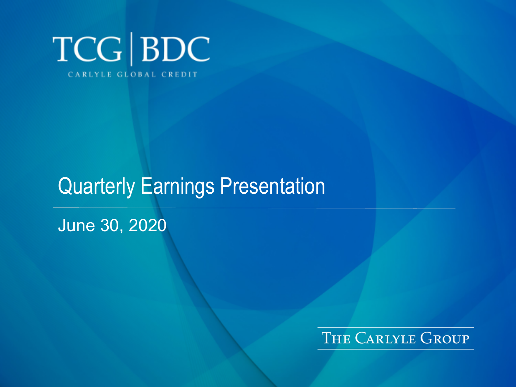

# Quarterly Earnings Presentation

June 30, 2020

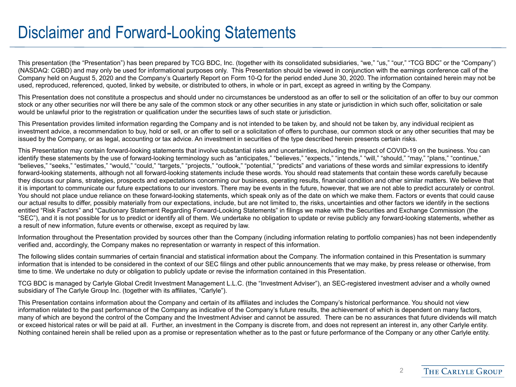#### Disclaimer and Forward-Looking Statements

This presentation (the "Presentation") has been prepared by TCG BDC, Inc. (together with its consolidated subsidiaries, "we," "us," "our," "TCG BDC" or the "Company") (NASDAQ: CGBD) and may only be used for informational purposes only. This Presentation should be viewed in conjunction with the earnings conference call of the Company held on August 5, 2020 and the Company's Quarterly Report on Form 10-Q for the period ended June 30, 2020. The information contained herein may not be used, reproduced, referenced, quoted, linked by website, or distributed to others, in whole or in part, except as agreed in writing by the Company.

This Presentation does not constitute a prospectus and should under no circumstances be understood as an offer to sell or the solicitation of an offer to buy our common stock or any other securities nor will there be any sale of the common stock or any other securities in any state or jurisdiction in which such offer, solicitation or sale would be unlawful prior to the registration or qualification under the securities laws of such state or jurisdiction.

This Presentation provides limited information regarding the Company and is not intended to be taken by, and should not be taken by, any individual recipient as investment advice, a recommendation to buy, hold or sell, or an offer to sell or a solicitation of offers to purchase, our common stock or any other securities that may be issued by the Company, or as legal, accounting or tax advice. An investment in securities of the type described herein presents certain risks.

This Presentation may contain forward-looking statements that involve substantial risks and uncertainties, including the impact of COVID-19 on the business. You can identify these statements by the use of forward-looking terminology such as "anticipates," "believes," "expects," "intends," "will," "should," "may," "plans," "continue," "believes," "seeks," "estimates," "would," "could," "targets," "projects," "outlook," "potential," "predicts" and variations of these words and similar expressions to identify forward-looking statements, although not all forward-looking statements include these words. You should read statements that contain these words carefully because they discuss our plans, strategies, prospects and expectations concerning our business, operating results, financial condition and other similar matters. We believe that it is important to communicate our future expectations to our investors. There may be events in the future, however, that we are not able to predict accurately or control. You should not place undue reliance on these forward-looking statements, which speak only as of the date on which we make them. Factors or events that could cause our actual results to differ, possibly materially from our expectations, include, but are not limited to, the risks, uncertainties and other factors we identify in the sections entitled "Risk Factors" and "Cautionary Statement Regarding Forward-Looking Statements" in filings we make with the Securities and Exchange Commission (the "SEC"), and it is not possible for us to predict or identify all of them. We undertake no obligation to update or revise publicly any forward-looking statements, whether as a result of new information, future events or otherwise, except as required by law.

Information throughout the Presentation provided by sources other than the Company (including information relating to portfolio companies) has not been independently verified and, accordingly, the Company makes no representation or warranty in respect of this information.

The following slides contain summaries of certain financial and statistical information about the Company. The information contained in this Presentation is summary information that is intended to be considered in the context of our SEC filings and other public announcements that we may make, by press release or otherwise, from time to time. We undertake no duty or obligation to publicly update or revise the information contained in this Presentation.

TCG BDC is managed by Carlyle Global Credit Investment Management L.L.C. (the "Investment Adviser"), an SEC-registered investment adviser and a wholly owned subsidiary of The Carlyle Group Inc. (together with its affiliates, "Carlyle").

This Presentation contains information about the Company and certain of its affiliates and includes the Company's historical performance. You should not view information related to the past performance of the Company as indicative of the Company's future results, the achievement of which is dependent on many factors, many of which are beyond the control of the Company and the Investment Adviser and cannot be assured. There can be no assurances that future dividends will match or exceed historical rates or will be paid at all. Further, an investment in the Company is discrete from, and does not represent an interest in, any other Carlyle entity. Nothing contained herein shall be relied upon as a promise or representation whether as to the past or future performance of the Company or any other Carlyle entity.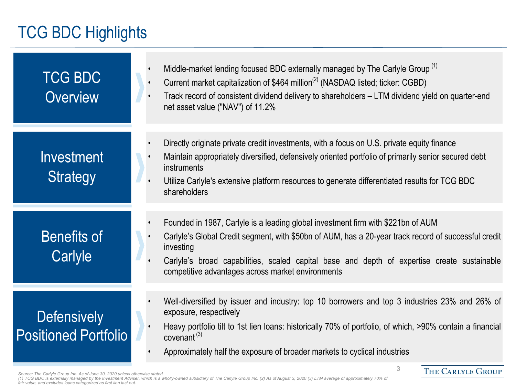### TCG BDC Highlights

| <b>TCG BDC</b><br><b>Overview</b>                 | Middle-market lending focused BDC externally managed by The Carlyle Group <sup>(1)</sup><br>Current market capitalization of \$464 million <sup>(2)</sup> (NASDAQ listed; ticker: CGBD)<br>Track record of consistent dividend delivery to shareholders – LTM dividend yield on quarter-end<br>net asset value ("NAV") of 11.2%                           |
|---------------------------------------------------|-----------------------------------------------------------------------------------------------------------------------------------------------------------------------------------------------------------------------------------------------------------------------------------------------------------------------------------------------------------|
| Investment<br><b>Strategy</b>                     | Directly originate private credit investments, with a focus on U.S. private equity finance<br>Maintain appropriately diversified, defensively oriented portfolio of primarily senior secured debt<br>instruments<br>Utilize Carlyle's extensive platform resources to generate differentiated results for TCG BDC<br>shareholders                         |
| <b>Benefits of</b><br>Carlyle                     | Founded in 1987, Carlyle is a leading global investment firm with \$221bn of AUM<br>Carlyle's Global Credit segment, with \$50bn of AUM, has a 20-year track record of successful credit<br>investing<br>Carlyle's broad capabilities, scaled capital base and depth of expertise create sustainable<br>competitive advantages across market environments |
| <b>Defensively</b><br><b>Positioned Portfolio</b> | Well-diversified by issuer and industry: top 10 borrowers and top 3 industries 23% and 26% of<br>exposure, respectively<br>Heavy portfolio tilt to 1st lien loans: historically 70% of portfolio, of which, >90% contain a financial<br>covenant $(3)$<br>Approximately half the exposure of broader markets to cyclical industries                       |

3

THE CARLYLE GROUP

Source: The Carlyle Group Inc. As of June 30, 2020 unless otherwise stated.<br>(1) TCG BDC is externally managed by the Investment Adviser, which is a wholly-owned subsidiary of The Carlyle Group Inc. (2) As of August 3, 2020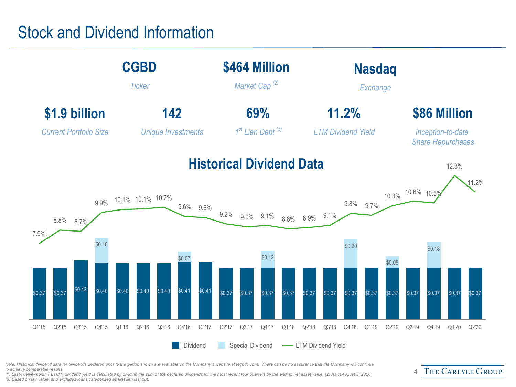#### Stock and Dividend Information



Note: Historical dividend data for dividends declared prior to the period shown are available on the Company's website at tcgbdc.com. There can be no assurance that the Company will continue *to achieve comparable results.* 

*(1) Last-twelve-month ("LTM ") dividend yield is calculated by dividing the sum of the declared dividends for the most recent four quarters by the ending net asset value. (2) As of August 3, 2020 (3) Based on fair value, and excludes loans categorized as first lien last out.* 

#### THE CARLYLE GROUP  $\Delta$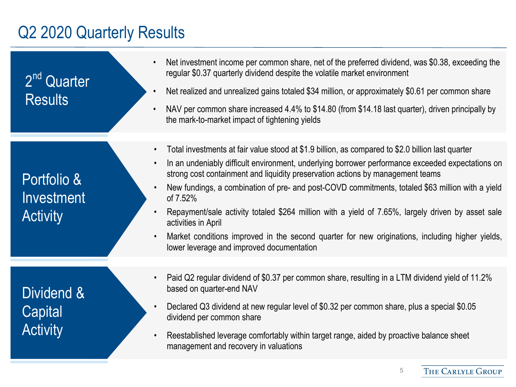#### Q2 2020 Quarterly Results

2<sup>nd</sup> Quarter **Results** 

Portfolio & Investment **Activity** 

Dividend & **Capital Activity** 

- Net investment income per common share, net of the preferred dividend, was \$0.38, exceeding the regular \$0.37 quarterly dividend despite the volatile market environment
- Net realized and unrealized gains totaled \$34 million, or approximately \$0.61 per common share
- NAV per common share increased 4.4% to \$14.80 (from \$14.18 last quarter), driven principally by the mark-to-market impact of tightening yields
- Total investments at fair value stood at \$1.9 billion, as compared to \$2.0 billion last quarter
- In an undeniably difficult environment, underlying borrower performance exceeded expectations on strong cost containment and liquidity preservation actions by management teams
- New fundings, a combination of pre- and post-COVD commitments, totaled \$63 million with a yield of 7.52%
- Repayment/sale activity totaled \$264 million with a yield of 7.65%, largely driven by asset sale activities in April
- Market conditions improved in the second quarter for new originations, including higher yields, lower leverage and improved documentation
- Paid Q2 regular dividend of \$0.37 per common share, resulting in a LTM dividend yield of 11.2% based on quarter-end NAV
- Declared Q3 dividend at new regular level of \$0.32 per common share, plus a special \$0.05 dividend per common share
- Reestablished leverage comfortably within target range, aided by proactive balance sheet management and recovery in valuations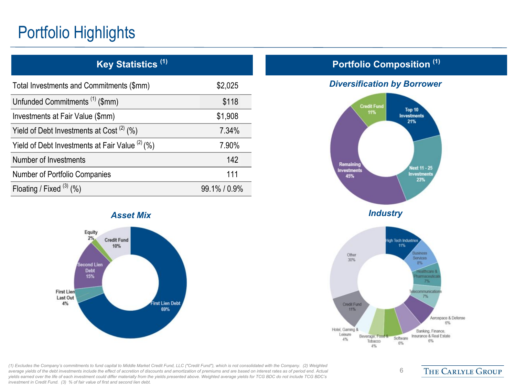## Portfolio Highlights

| Total Investments and Commitments (\$mm)          | \$2,025    |
|---------------------------------------------------|------------|
| Unfunded Commitments <sup>(1)</sup> (\$mm)        | \$118      |
| Investments at Fair Value (\$mm)                  | \$1,908    |
| Yield of Debt Investments at Cost $(2)$ (%)       | 7.34%      |
| Yield of Debt Investments at Fair Value $(2)$ (%) | 7.90%      |
| Number of Investments                             | 142        |
| Number of Portfolio Companies                     | 111        |
| Floating / Fixed $(3)$ (%)                        | 99.1%/0.9% |



#### **Portfolio Composition (1) Key Statistics (1)**

#### *Diversification by Borrower*



Credit Fund

11%

Beverage, Food &

Tobacco

4%

Hotel, Gaming &

Leisure

 $4%$ 

6

Software

6%

 $7%$ 

Banking, Finance,

Insurance & Real Estate

6%

Aerospace & Defense  $6%$ 

**THE CARLYLE GROUP** 

*(1) Excludes the Company's commitments to fund capital to Middle Market Credit Fund, LLC ("Credit Fund"), which is not consolidated with the Company. (2) Weighted average yields of the debt investments include the effect of accretion of discounts and amortization of premiums and are based on interest rates as of period end. Actual yields earned over the life of each investment could differ materially from the yields presented above. Weighted average yields for TCG BDC do not include TCG BDC's investment in Credit Fund. (3) % of fair value of first and second lien debt.*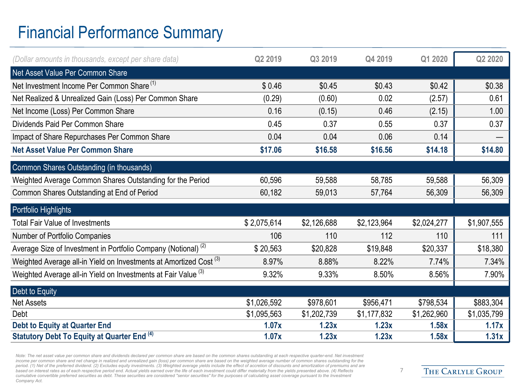## Financial Performance Summary

| (Dollar amounts in thousands, except per share data)                          | Q2 2019     | Q3 2019     | Q4 2019     | Q1 2020     | Q2 2020     |
|-------------------------------------------------------------------------------|-------------|-------------|-------------|-------------|-------------|
| Net Asset Value Per Common Share                                              |             |             |             |             |             |
| Net Investment Income Per Common Share <sup>(1)</sup>                         | \$0.46      | \$0.45      | \$0.43      | \$0.42      | \$0.38      |
| Net Realized & Unrealized Gain (Loss) Per Common Share                        | (0.29)      | (0.60)      | 0.02        | (2.57)      | 0.61        |
| Net Income (Loss) Per Common Share                                            | 0.16        | (0.15)      | 0.46        | (2.15)      | 1.00        |
| Dividends Paid Per Common Share                                               | 0.45        | 0.37        | 0.55        | 0.37        | 0.37        |
| Impact of Share Repurchases Per Common Share                                  | 0.04        | 0.04        | 0.06        | 0.14        |             |
| <b>Net Asset Value Per Common Share</b>                                       | \$17.06     | \$16.58     | \$16.56     | \$14.18     | \$14.80     |
| Common Shares Outstanding (in thousands)                                      |             |             |             |             |             |
| Weighted Average Common Shares Outstanding for the Period                     | 60,596      | 59,588      | 58,785      | 59,588      | 56,309      |
| Common Shares Outstanding at End of Period                                    | 60,182      | 59,013      | 57,764      | 56,309      | 56,309      |
| Portfolio Highlights                                                          |             |             |             |             |             |
| <b>Total Fair Value of Investments</b>                                        | \$2,075,614 | \$2,126,688 | \$2,123,964 | \$2,024,277 | \$1,907,555 |
| Number of Portfolio Companies                                                 | 106         | 110         | 112         | 110         | 111         |
| Average Size of Investment in Portfolio Company (Notional) <sup>(2)</sup>     | \$20,563    | \$20,828    | \$19,848    | \$20,337    | \$18,380    |
| Weighted Average all-in Yield on Investments at Amortized Cost <sup>(3)</sup> | 8.97%       | 8.88%       | 8.22%       | 7.74%       | 7.34%       |
| Weighted Average all-in Yield on Investments at Fair Value (3)                | 9.32%       | 9.33%       | 8.50%       | 8.56%       | 7.90%       |
| Debt to Equity                                                                |             |             |             |             |             |
| Net Assets                                                                    | \$1,026,592 | \$978,601   | \$956,471   | \$798,534   | \$883,304   |
| Debt                                                                          | \$1,095,563 | \$1,202,739 | \$1,177,832 | \$1,262,960 | \$1,035,799 |
| <b>Debt to Equity at Quarter End</b>                                          | 1.07x       | 1.23x       | 1.23x       | 1.58x       | 1.17x       |
| Statutory Debt To Equity at Quarter End (4)                                   | 1.07x       | 1.23x       | 1.23x       | 1.58x       | 1.31x       |

Note: The net asset value per common share and dividends declared per common share are based on the common shares outstanding at each respective quarter-end. Net investment *income per common share and net change in realized and unrealized gain (loss) per common share are based on the weighted average number of common shares outstanding for the*  period. (1) Net of the preferred dividend. (2) Excludes equity investments. (3) Weighted average yields include the effect of accretion of discounts and amortization of premiums and are *based on interest rates as of each respective period end. Actual yields earned over the life of each investment could differ materially from the yields presented above. (4) Reflects cumulative convertible preferred securities as debt. These securities are considered "senior securities" for the purposes of calculating asset coverage pursuant to the Investment Company Act.*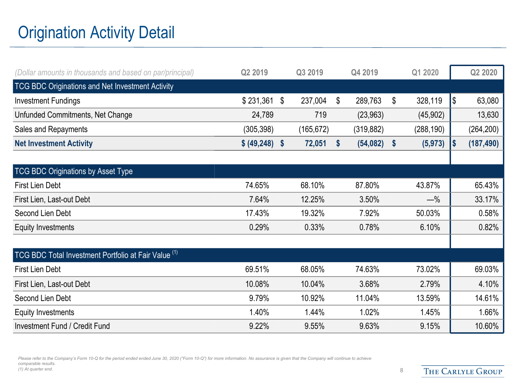## Origination Activity Detail

| (Dollar amounts in thousands and based on par/principal) | Q2 2019      |                           | Q3 2019    |               | Q4 2019    |                   | Q1 2020    |     | Q2 2020    |
|----------------------------------------------------------|--------------|---------------------------|------------|---------------|------------|-------------------|------------|-----|------------|
| TCG BDC Originations and Net Investment Activity         |              |                           |            |               |            |                   |            |     |            |
| <b>Investment Fundings</b>                               | \$231,361    | \$                        | 237,004    | $\$\$         | 289,763    | \$                | 328,119    | l\$ | 63,080     |
| Unfunded Commitments, Net Change                         | 24,789       |                           | 719        |               | (23, 963)  |                   | (45, 902)  |     | 13,630     |
| Sales and Repayments                                     | (305, 398)   |                           | (165, 672) |               | (319, 882) |                   | (288, 190) |     | (264, 200) |
| <b>Net Investment Activity</b>                           | \$ (49, 248) | $\boldsymbol{\mathsf{s}}$ | 72,051     | $\mathsf{\$}$ | (54, 082)  | $\boldsymbol{\$}$ | (5, 973)   | I\$ | (187, 490) |
|                                                          |              |                           |            |               |            |                   |            |     |            |
| TCG BDC Originations by Asset Type                       |              |                           |            |               |            |                   |            |     |            |
| <b>First Lien Debt</b>                                   | 74.65%       |                           | 68.10%     |               | 87.80%     |                   | 43.87%     |     | 65.43%     |
| First Lien, Last-out Debt                                | 7.64%        |                           | 12.25%     |               | 3.50%      |                   | $-\%$      |     | 33.17%     |
| Second Lien Debt                                         | 17.43%       |                           | 19.32%     |               | 7.92%      |                   | 50.03%     |     | 0.58%      |
| <b>Equity Investments</b>                                | 0.29%        |                           | 0.33%      |               | 0.78%      |                   | 6.10%      |     | 0.82%      |
|                                                          |              |                           |            |               |            |                   |            |     |            |
| TCG BDC Total Investment Portfolio at Fair Value (1)     |              |                           |            |               |            |                   |            |     |            |
| <b>First Lien Debt</b>                                   | 69.51%       |                           | 68.05%     |               | 74.63%     |                   | 73.02%     |     | 69.03%     |
| First Lien, Last-out Debt                                | 10.08%       |                           | 10.04%     |               | 3.68%      |                   | 2.79%      |     | 4.10%      |
| Second Lien Debt                                         | 9.79%        |                           | 10.92%     |               | 11.04%     |                   | 13.59%     |     | 14.61%     |
| <b>Equity Investments</b>                                | 1.40%        |                           | 1.44%      |               | 1.02%      |                   | 1.45%      |     | 1.66%      |
| <b>Investment Fund / Credit Fund</b>                     | 9.22%        |                           | 9.55%      |               | 9.63%      |                   | 9.15%      |     | 10.60%     |

Please refer to the Company's Form 10-Q for the period ended ended June 30, 2020 ("Form 10-Q") for more information. No assurance is given that the Company will continue to achieve *comparable results. (1) At quarter end.* 8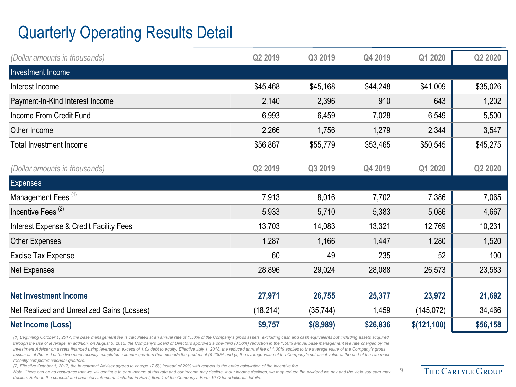## Quarterly Operating Results Detail

| (Dollar amounts in thousands)                      | Q2 2019   | Q3 2019     | Q4 2019  | Q1 2020     | Q2 2020          |
|----------------------------------------------------|-----------|-------------|----------|-------------|------------------|
| Investment Income                                  |           |             |          |             |                  |
| Interest Income                                    | \$45,468  | \$45,168    | \$44,248 | \$41,009    | \$35,026         |
| Payment-In-Kind Interest Income                    | 2,140     | 2,396       | 910      | 643         | 1,202            |
| Income From Credit Fund                            | 6,993     | 6,459       | 7,028    | 6,549       | 5,500            |
| Other Income                                       | 2,266     | 1,756       | 1,279    | 2,344       | 3,547            |
| <b>Total Investment Income</b>                     | \$56,867  | \$55,779    | \$53,465 | \$50,545    | \$45,275         |
| (Dollar amounts in thousands)                      | Q2 2019   | Q3 2019     | Q4 2019  | Q1 2020     | Q2 2020          |
| Expenses                                           |           |             |          |             |                  |
| Management Fees <sup>(1)</sup>                     | 7,913     | 8,016       | 7,702    | 7,386       | 7,065            |
| Incentive Fees <sup>(2)</sup>                      | 5,933     | 5,710       | 5,383    | 5,086       | 4,667            |
| <b>Interest Expense &amp; Credit Facility Fees</b> | 13,703    | 14,083      | 13,321   | 12,769      | 10,231           |
| <b>Other Expenses</b>                              | 1,287     | 1,166       | 1,447    | 1,280       | 1,520            |
| <b>Excise Tax Expense</b>                          | 60        | 49          | 235      | 52          | 100 <sub>1</sub> |
| Net Expenses                                       | 28,896    | 29,024      | 28,088   | 26,573      | 23,583           |
|                                                    |           |             |          |             |                  |
| <b>Net Investment Income</b>                       | 27,971    | 26,755      | 25,377   | 23,972      | 21,692           |
| Net Realized and Unrealized Gains (Losses)         | (18, 214) | (35, 744)   | 1,459    | (145, 072)  | 34,466           |
| <b>Net Income (Loss)</b>                           | \$9,757   | $$$ (8,989) | \$26,836 | \$(121,100) | \$56,158         |

*(1) Beginning October 1, 2017, the base management fee is calculated at an annual rate of 1.50% of the Company's gross assets, excluding cash and cash equivalents but including assets acquired*  through the use of leverage. In addition, on August 6, 2018, the Company's Board of Directors approved a one-third (0.50%) reduction in the 1.50% annual base management fee rate charged by the *Investment Adviser on assets financed using leverage in excess of 1.0x debt to equity. Effective July 1, 2018, the reduced annual fee of 1.00% applies to the average value of the Company's gross*  assets as of the end of the two most recently completed calendar quarters that exceeds the product of (i) 200% and (ii) the average value of the Company's net asset value at the end of the two most *recently completed calendar quarters.* 

*(2) Effective October 1, 2017, the Investment Adviser agreed to charge 17.5% instead of 20% with respect to the entire calculation of the incentive fee.* 

Note: There can be no assurance that we will continue to earn income at this rate and our income may decline. If our income declines, we may reduce the dividend we pay and the yield you earn may *decline. Refer to the consolidated financial statements included in Part I, Item 1 of the Company's Form 10-Q for additional details.* 

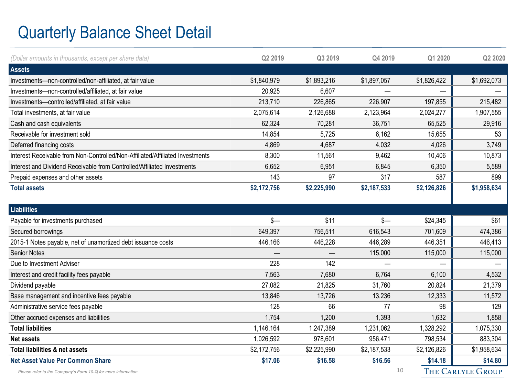## Quarterly Balance Sheet Detail

| (Dollar amounts in thousands, except per share data)                          | Q2 2019     | Q3 2019     | Q4 2019     | Q1 2020     | Q2 2020     |
|-------------------------------------------------------------------------------|-------------|-------------|-------------|-------------|-------------|
| <b>Assets</b>                                                                 |             |             |             |             |             |
| Investments-non-controlled/non-affiliated, at fair value                      | \$1,840,979 | \$1,893,216 | \$1,897,057 | \$1,826,422 | \$1,692,073 |
| Investments-non-controlled/affiliated, at fair value                          | 20,925      | 6,607       |             |             |             |
| Investments-controlled/affiliated, at fair value                              | 213,710     | 226,865     | 226,907     | 197,855     | 215,482     |
| Total investments, at fair value                                              | 2,075,614   | 2,126,688   | 2,123,964   | 2,024,277   | 1,907,555   |
| Cash and cash equivalents                                                     | 62,324      | 70,281      | 36,751      | 65,525      | 29,916      |
| Receivable for investment sold                                                | 14,854      | 5,725       | 6,162       | 15,655      | 53          |
| Deferred financing costs                                                      | 4,869       | 4,687       | 4,032       | 4,026       | 3,749       |
| Interest Receivable from Non-Controlled/Non-Affiliated/Affiliated Investments | 8,300       | 11,561      | 9,462       | 10,406      | 10,873      |
| Interest and Dividend Receivable from Controlled/Affiliated Investments       | 6,652       | 6,951       | 6,845       | 6,350       | 5,589       |
| Prepaid expenses and other assets                                             | 143         | 97          | 317         | 587         | 899         |
| <b>Total assets</b>                                                           | \$2,172,756 | \$2,225,990 | \$2,187,533 | \$2,126,826 | \$1,958,634 |
|                                                                               |             |             |             |             |             |
| Liabilities                                                                   |             |             |             |             |             |
|                                                                               |             |             |             |             |             |
| Payable for investments purchased                                             | $s-$        | \$11        | $s-$        | \$24,345    | \$61        |
| Secured borrowings                                                            | 649,397     | 756,511     | 616,543     | 701,609     | 474,386     |
| 2015-1 Notes payable, net of unamortized debt issuance costs                  | 446,166     | 446,228     | 446,289     | 446,351     | 446,413     |
| Senior Notes                                                                  |             |             | 115,000     | 115,000     | 115,000     |
| Due to Investment Adviser                                                     | 228         | 142         |             |             |             |
| Interest and credit facility fees payable                                     | 7,563       | 7,680       | 6,764       | 6,100       | 4,532       |
| Dividend payable                                                              | 27,082      | 21,825      | 31,760      | 20,824      | 21,379      |
| Base management and incentive fees payable                                    | 13,846      | 13,726      | 13,236      | 12,333      | 11,572      |
| Administrative service fees payable                                           | 128         | 66          | 77          | 98          | 129         |
| Other accrued expenses and liabilities                                        | 1,754       | 1,200       | 1,393       | 1,632       | 1,858       |
| <b>Total liabilities</b>                                                      | 1,146,164   | 1,247,389   | 1,231,062   | 1,328,292   | 1,075,330   |
| <b>Net assets</b>                                                             | 1,026,592   | 978,601     | 956,471     | 798,534     | 883,304     |
| Total liabilities & net assets                                                | \$2,172,756 | \$2,225,990 | \$2,187,533 | \$2,126,826 | \$1,958,634 |
| <b>Net Asset Value Per Common Share</b>                                       | \$17.06     | \$16.58     | \$16.56     | \$14.18     | \$14.80     |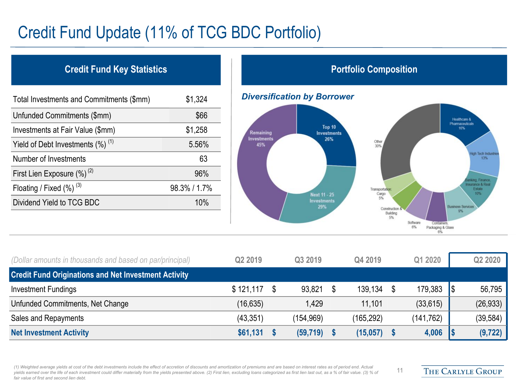### Credit Fund Update (11% of TCG BDC Portfolio)

#### **Credit Fund Key Statistics Portfolio Composition**

| Total Investments and Commitments (\$mm)        | \$1,324      |
|-------------------------------------------------|--------------|
| Unfunded Commitments (\$mm)                     | \$66         |
| Investments at Fair Value (\$mm)                | \$1,258      |
| Yield of Debt Investments $(\%)$ <sup>(1)</sup> | 5.56%        |
| Number of Investments                           | 63           |
| First Lien Exposure $(\%)^{(2)}$                | 96%          |
| Floating / Fixed $(\%)$ <sup>(3)</sup>          | 98.3% / 1.7% |
| Dividend Yield to TCG BDC                       | 10%          |





| (Dollar amounts in thousands and based on par/principal)    | Q2 2019   | Q3 2019    | Q4 2019       |   | Q1 2020    | Q2 2020   |
|-------------------------------------------------------------|-----------|------------|---------------|---|------------|-----------|
| <b>Credit Fund Originations and Net Investment Activity</b> |           |            |               |   |            |           |
| <b>Investment Fundings</b>                                  | \$121,117 | 93,821     | 139,134       | S | 179,383    | 56,795    |
| Unfunded Commitments, Net Change                            | (16,635)  | 1.429      | 11,101        |   | (33, 615)  | (26, 933) |
| Sales and Repayments                                        | (43, 351) | (154, 969) | (165, 292)    |   | (141, 762) | (39, 584) |
| <b>Net Investment Activity</b>                              | \$61,131  | (59, 719)  | $(15,057)$ \$ |   | 4,006      | (9, 722)  |

*(1) Weighted average yields at cost of the debt investments include the effect of accretion of discounts and amortization of premiums and are based on interest rates as of period end. Actual*  yields earned over the life of each investment could differ materially from the yields presented above. (2) First lien, excluding loans categorized as first lien last out, as a % of fair value. (3) % of *fair value of first and second lien debt.*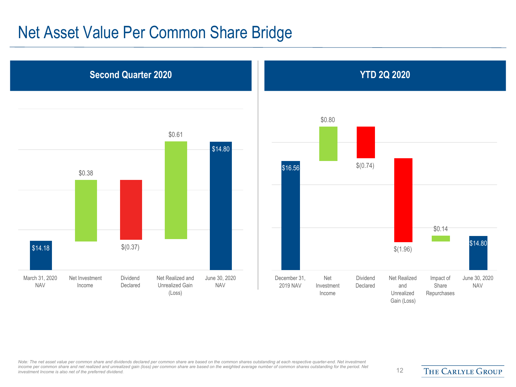#### Net Asset Value Per Common Share Bridge





*Note: The net asset value per common share and dividends declared per common share are based on the common shares outstanding at each respective quarter-end. Net investment*  income per common share and net realized and unrealized gain (loss) per common share are based on the weighted average number of common shares outstanding for the period. Net that is a the period. Net that is also net of t

THE CARLYLE GROUP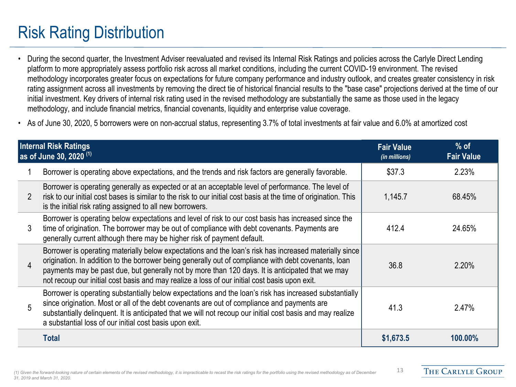## Risk Rating Distribution

- During the second quarter, the Investment Adviser reevaluated and revised its Internal Risk Ratings and policies across the Carlyle Direct Lending platform to more appropriately assess portfolio risk across all market conditions, including the current COVID-19 environment. The revised methodology incorporates greater focus on expectations for future company performance and industry outlook, and creates greater consistency in risk rating assignment across all investments by removing the direct tie of historical financial results to the "base case" projections derived at the time of our initial investment. Key drivers of internal risk rating used in the revised methodology are substantially the same as those used in the legacy methodology, and include financial metrics, financial covenants, liquidity and enterprise value coverage.
- As of June 30, 2020, 5 borrowers were on non-accrual status, representing 3.7% of total investments at fair value and 6.0% at amortized cost

|                | <b>Internal Risk Ratings</b><br>as of June 30, 2020 <sup>(1)</sup>                                                                                                                                                                                                                                                                                                                                                  | <b>Fair Value</b><br>(in millions) | $%$ of<br><b>Fair Value</b> |
|----------------|---------------------------------------------------------------------------------------------------------------------------------------------------------------------------------------------------------------------------------------------------------------------------------------------------------------------------------------------------------------------------------------------------------------------|------------------------------------|-----------------------------|
|                | Borrower is operating above expectations, and the trends and risk factors are generally favorable.                                                                                                                                                                                                                                                                                                                  | \$37.3                             | 2.23%                       |
| $\overline{2}$ | Borrower is operating generally as expected or at an acceptable level of performance. The level of<br>risk to our initial cost bases is similar to the risk to our initial cost basis at the time of origination. This<br>is the initial risk rating assigned to all new borrowers.                                                                                                                                 | 1,145.7                            | 68.45%                      |
| 3              | Borrower is operating below expectations and level of risk to our cost basis has increased since the<br>time of origination. The borrower may be out of compliance with debt covenants. Payments are<br>generally current although there may be higher risk of payment default.                                                                                                                                     | 412.4                              | 24.65%                      |
| 4              | Borrower is operating materially below expectations and the loan's risk has increased materially since<br>origination. In addition to the borrower being generally out of compliance with debt covenants, loan<br>payments may be past due, but generally not by more than 120 days. It is anticipated that we may<br>not recoup our initial cost basis and may realize a loss of our initial cost basis upon exit. | 36.8                               | 2.20%                       |
| 5              | Borrower is operating substantially below expectations and the loan's risk has increased substantially<br>since origination. Most or all of the debt covenants are out of compliance and payments are<br>substantially delinguent. It is anticipated that we will not recoup our initial cost basis and may realize<br>a substantial loss of our initial cost basis upon exit.                                      | 41.3                               | 2.47%                       |
|                | Total                                                                                                                                                                                                                                                                                                                                                                                                               | \$1,673.5                          | 100.00%                     |